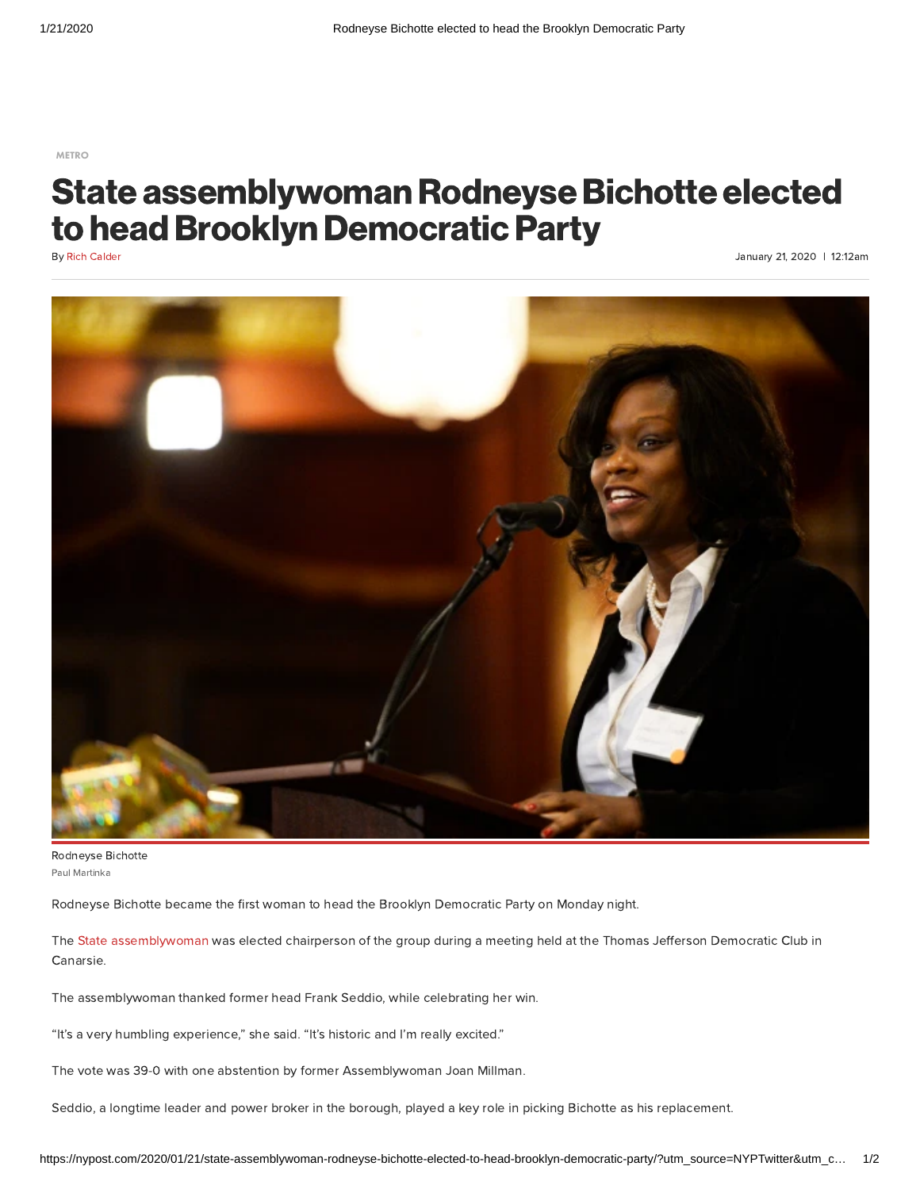[METRO](https://nypost.com/metro/)

## State assemblywoman Rodneyse Bichotte elected to head Brooklyn Democratic Party

By Rich [Calder](https://nypost.com/author/rich-calder/)

January 21, 2020 | 12:12am



Paul Martinka Rodneyse Bichotte

Rodneyse Bichotte became the first woman to head the Brooklyn Democratic Party on Monday night.

The State [assemblywoman](https://nypost.com/2020/01/19/brooklyn-dem-machines-future-leader-vows-to-boost-partys-bad-finances/) was elected chairperson of the group during a meeting held at the Thomas Jefferson Democratic Club in Canarsie.

The assemblywoman thanked former head Frank Seddio, while celebrating her win.

"It's a very humbling experience," she said. "It's historic and I'm really excited."

The vote was 39-0 with one abstention by former Assemblywoman Joan Millman.

Seddio, a longtime leader and power broker in the borough, played a key role in picking Bichotte as his replacement.